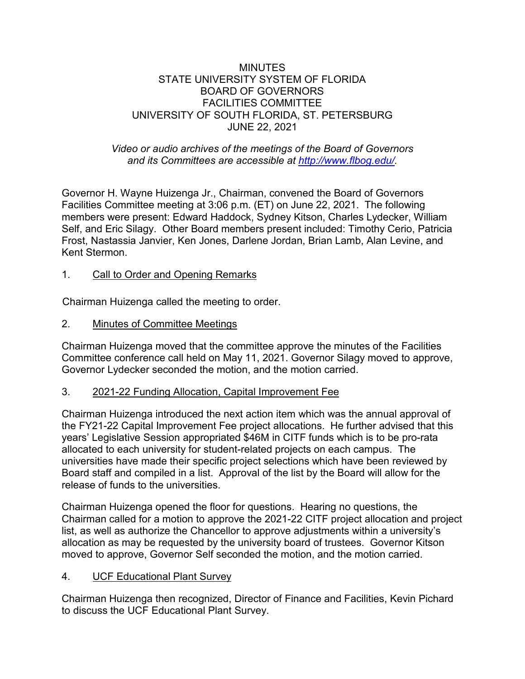### MINUTES STATE UNIVERSITY SYSTEM OF FLORIDA BOARD OF GOVERNORS FACILITIES COMMITTEE UNIVERSITY OF SOUTH FLORIDA, ST. PETERSBURG JUNE 22, 2021

## *Video or audio archives of the meetings of the Board of Governors and its Committees are accessible at [http://www.flbog.edu/.](http://www.flbog.edu/)*

Governor H. Wayne Huizenga Jr., Chairman, convened the Board of Governors Facilities Committee meeting at 3:06 p.m. (ET) on June 22, 2021. The following members were present: Edward Haddock, Sydney Kitson, Charles Lydecker, William Self, and Eric Silagy. Other Board members present included: Timothy Cerio, Patricia Frost, Nastassia Janvier, Ken Jones, Darlene Jordan, Brian Lamb, Alan Levine, and Kent Stermon.

# 1. Call to Order and Opening Remarks

Chairman Huizenga called the meeting to order.

2. Minutes of Committee Meetings

Chairman Huizenga moved that the committee approve the minutes of the Facilities Committee conference call held on May 11, 2021. Governor Silagy moved to approve, Governor Lydecker seconded the motion, and the motion carried.

### 3. 2021-22 Funding Allocation, Capital Improvement Fee

Chairman Huizenga introduced the next action item which was the annual approval of the FY21-22 Capital Improvement Fee project allocations. He further advised that this years' Legislative Session appropriated \$46M in CITF funds which is to be pro-rata allocated to each university for student-related projects on each campus. The universities have made their specific project selections which have been reviewed by Board staff and compiled in a list. Approval of the list by the Board will allow for the release of funds to the universities.

Chairman Huizenga opened the floor for questions. Hearing no questions, the Chairman called for a motion to approve the 2021-22 CITF project allocation and project list, as well as authorize the Chancellor to approve adjustments within a university's allocation as may be requested by the university board of trustees. Governor Kitson moved to approve, Governor Self seconded the motion, and the motion carried.

# 4. UCF Educational Plant Survey

Chairman Huizenga then recognized, Director of Finance and Facilities, Kevin Pichard to discuss the UCF Educational Plant Survey.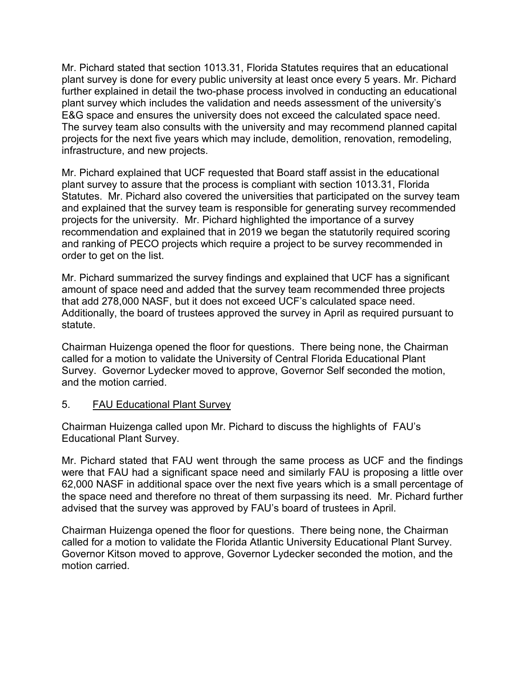Mr. Pichard stated that section 1013.31, Florida Statutes requires that an educational plant survey is done for every public university at least once every 5 years. Mr. Pichard further explained in detail the two-phase process involved in conducting an educational plant survey which includes the validation and needs assessment of the university's E&G space and ensures the university does not exceed the calculated space need. The survey team also consults with the university and may recommend planned capital projects for the next five years which may include, demolition, renovation, remodeling, infrastructure, and new projects.

Mr. Pichard explained that UCF requested that Board staff assist in the educational plant survey to assure that the process is compliant with section 1013.31, Florida Statutes. Mr. Pichard also covered the universities that participated on the survey team and explained that the survey team is responsible for generating survey recommended projects for the university. Mr. Pichard highlighted the importance of a survey recommendation and explained that in 2019 we began the statutorily required scoring and ranking of PECO projects which require a project to be survey recommended in order to get on the list.

Mr. Pichard summarized the survey findings and explained that UCF has a significant amount of space need and added that the survey team recommended three projects that add 278,000 NASF, but it does not exceed UCF's calculated space need. Additionally, the board of trustees approved the survey in April as required pursuant to statute.

Chairman Huizenga opened the floor for questions. There being none, the Chairman called for a motion to validate the University of Central Florida Educational Plant Survey. Governor Lydecker moved to approve, Governor Self seconded the motion, and the motion carried.

### 5. FAU Educational Plant Survey

Chairman Huizenga called upon Mr. Pichard to discuss the highlights of FAU's Educational Plant Survey.

Mr. Pichard stated that FAU went through the same process as UCF and the findings were that FAU had a significant space need and similarly FAU is proposing a little over 62,000 NASF in additional space over the next five years which is a small percentage of the space need and therefore no threat of them surpassing its need. Mr. Pichard further advised that the survey was approved by FAU's board of trustees in April.

Chairman Huizenga opened the floor for questions. There being none, the Chairman called for a motion to validate the Florida Atlantic University Educational Plant Survey. Governor Kitson moved to approve, Governor Lydecker seconded the motion, and the motion carried.